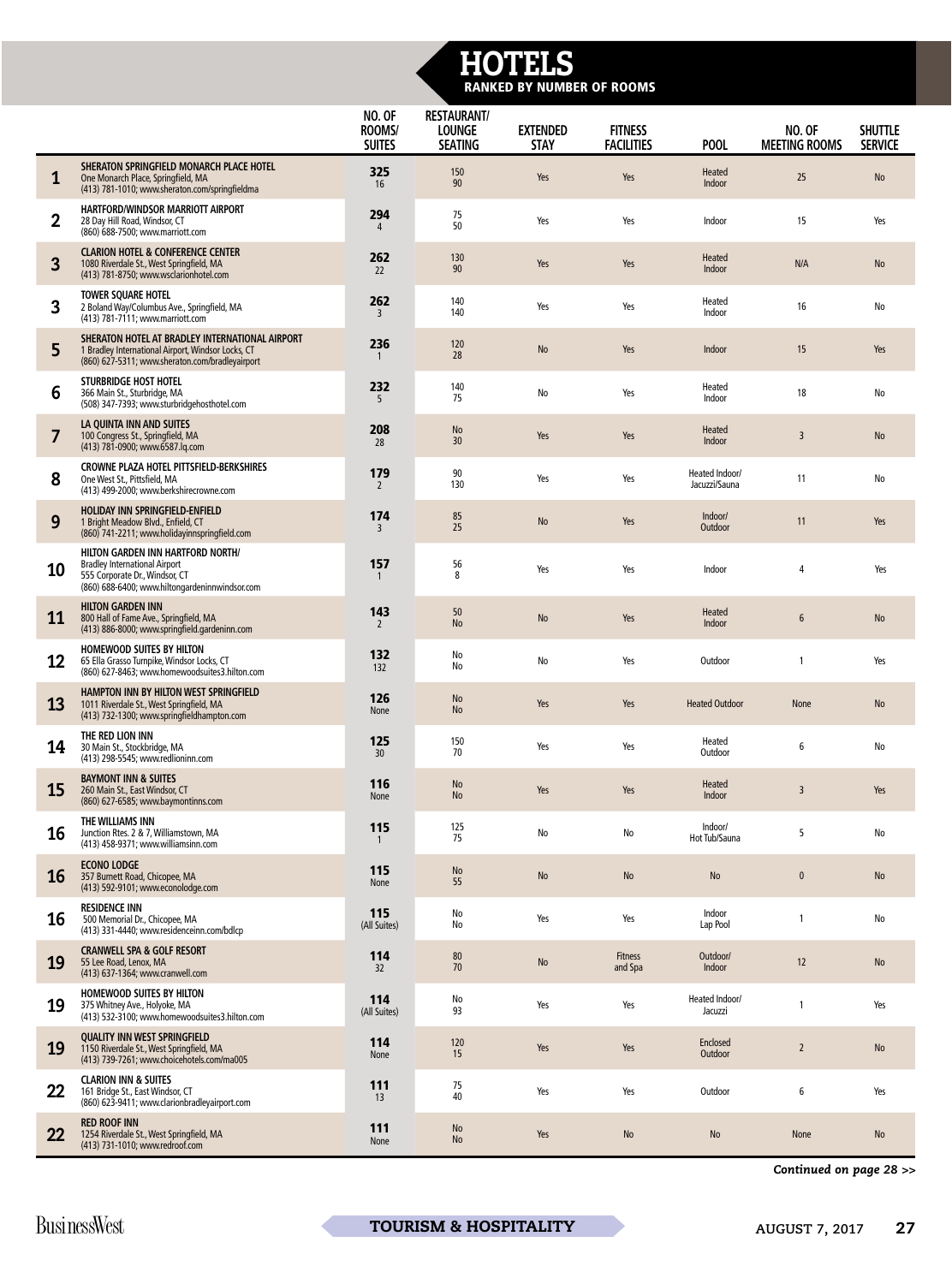## HOTELS RANKED BY NUMBER OF ROOMS

|                         |                                                                                                                                                               | NO. OF<br>ROOMS/<br><b>SUITES</b> | <b>RESTAURANT/</b><br><b>LOUNGE</b><br><b>SEATING</b> | <b>EXTENDED</b><br><b>STAY</b> | <b>FITNESS</b><br><b>FACILITIES</b> | POOL                            | <b>NO. OF</b><br><b>MEETING ROOMS</b> | <b>SHUTTLE</b><br><b>SERVICE</b> |
|-------------------------|---------------------------------------------------------------------------------------------------------------------------------------------------------------|-----------------------------------|-------------------------------------------------------|--------------------------------|-------------------------------------|---------------------------------|---------------------------------------|----------------------------------|
| 1                       | SHERATON SPRINGFIELD MONARCH PLACE HOTEL<br>One Monarch Place, Springfield, MA<br>(413) 781-1010; www.sheraton.com/springfieldma                              | 325<br>16                         | 150<br>90                                             | Yes                            | Yes                                 | Heated<br>Indoor                | 25                                    | <b>No</b>                        |
| $\overline{\mathbf{2}}$ | HARTFORD/WINDSOR MARRIOTT AIRPORT<br>28 Day Hill Road, Windsor, CT<br>(860) 688-7500; www.marriott.com                                                        | 294                               | 75<br>50                                              | Yes                            | Yes                                 | Indoor                          | 15                                    | Yes                              |
| 3                       | <b>CLARION HOTEL &amp; CONFERENCE CENTER</b><br>1080 Riverdale St., West Springfield, MA<br>(413) 781-8750; www.wsclarionhotel.com                            | 262<br>22                         | 130<br>90                                             | Yes                            | Yes                                 | Heated<br>Indoor                | N/A                                   | No                               |
| $\overline{3}$          | <b>TOWER SQUARE HOTEL</b><br>2 Boland Way/Columbus Ave., Springfield, MA<br>(413) 781-7111; www.marriott.com                                                  | 262<br>3                          | 140<br>140                                            | Yes                            | Yes                                 | Heated<br>Indoor                | 16                                    | No                               |
| 5                       | SHERATON HOTEL AT BRADLEY INTERNATIONAL AIRPORT<br>1 Bradley International Airport, Windsor Locks, CT<br>(860) 627-5311; www.sheraton.com/bradleyairport      | 236                               | 120<br>28                                             | No                             | Yes                                 | Indoor                          | 15                                    | Yes                              |
| 6                       | STURBRIDGE HOST HOTEL<br>366 Main St., Sturbridge, MA<br>(508) 347-7393; www.sturbridgehosthotel.com                                                          | 232<br>5                          | 140<br>75                                             | No                             | Yes                                 | Heated<br>Indoor                | 18                                    | No                               |
| 7                       | LA QUINTA INN AND SUITES<br>100 Congress St., Springfield, MA<br>(413) 781-0900; www.6587.lq.com                                                              | 208<br>28                         | <b>No</b><br>30                                       | Yes                            | Yes                                 | Heated<br>Indoor                | 3                                     | No                               |
| 8                       | CROWNE PLAZA HOTEL PITTSFIELD-BERKSHIRES<br>One West St., Pittsfield, MA<br>(413) 499-2000; www.berkshirecrowne.com                                           | 179<br>$\overline{2}$             | 90<br>130                                             | Yes                            | Yes                                 | Heated Indoor/<br>Jacuzzi/Sauna | 11                                    | No                               |
| 9                       | HOLIDAY INN SPRINGFIELD-ENFIELD<br>1 Bright Meadow Blvd., Enfield, CT<br>(860) 741-2211; www.holidayinnspringfield.com                                        | 174<br>3                          | 85<br>25                                              | No                             | Yes                                 | Indoor/<br>Outdoor              | 11                                    | Yes                              |
| 10                      | HILTON GARDEN INN HARTFORD NORTH/<br><b>Bradley International Airport</b><br>555 Corporate Dr., Windsor, CT<br>(860) 688-6400; www.hiltongardeninnwindsor.com | 157                               | 56<br>8                                               | Yes                            | Yes                                 | Indoor                          | $\Delta$                              | Yes                              |
| 11                      | <b>HILTON GARDEN INN</b><br>800 Hall of Fame Ave., Springfield, MA<br>(413) 886-8000; www.springfield.gardeninn.com                                           | 143<br>$\overline{2}$             | 50<br><b>No</b>                                       | No                             | Yes                                 | Heated<br>Indoor                | 6                                     | No                               |
| 12                      | <b>HOMEWOOD SUITES BY HILTON</b><br>65 Ella Grasso Turnpike, Windsor Locks, CT<br>(860) 627-8463; www.homewoodsuites3.hilton.com                              | 132<br>132                        | No<br>No                                              | No                             | Yes                                 | Outdoor                         |                                       | Yes                              |
| 13                      | HAMPTON INN BY HILTON WEST SPRINGFIELD<br>1011 Riverdale St., West Springfield, MA<br>(413) 732-1300; www.springfieldhampton.com                              | 126<br>None                       | <b>No</b><br>$\operatorname{\mathsf{No}}$             | Yes                            | Yes                                 | <b>Heated Outdoor</b>           | None                                  | $\operatorname{\mathsf{No}}$     |
| 14                      | THE RED LION INN<br>30 Main St., Stockbridge, MA<br>(413) 298-5545; www.redlioninn.com                                                                        | 125<br>30 <sup>2</sup>            | 150<br>70                                             | Yes                            | Yes                                 | Heated<br>Outdoor               | 6                                     | No                               |
| 15                      | <b>BAYMONT INN &amp; SUITES</b><br>260 Main St., East Windsor, CT<br>(860) 627-6585; www.baymontinns.com                                                      | 116<br>None                       | $\operatorname{\mathsf{No}}$<br><b>No</b>             | Yes                            | Yes                                 | Heated<br>Indoor                | $\overline{3}$                        | Yes                              |
| 16                      | THE WILLIAMS INN<br>Junction Rtes. 2 & 7, Williamstown, MA<br>(413) 458-9371; www.williamsinn.com                                                             | 115<br>-1                         | 125<br>75                                             | No                             | No                                  | Indoor/<br>Hot Tub/Sauna        | 5                                     | No                               |
| <b>16</b>               | <b>ECONO LODGE</b><br>357 Burnett Road, Chicopee, MA<br>(413) 592-9101; www.econolodge.com                                                                    | 115<br>None                       | $\operatorname{\mathsf{No}}$<br>55                    | No                             | $\operatorname{\mathsf{No}}$        | $\operatorname{\mathsf{No}}$    | $\mathbf 0$                           | No                               |
| 16                      | <b>RESIDENCE INN</b><br>500 Memorial Dr., Chicopee, MA<br>(413) 331-4440; www.residenceinn.com/bdlcp                                                          | 115<br>(All Suites)               | No<br>No                                              | Yes                            | Yes                                 | Indoor<br>Lap Pool              | -1                                    | No                               |
| 19                      | <b>CRANWELL SPA &amp; GOLF RESORT</b><br>55 Lee Road, Lenox, MA<br>(413) 637-1364; www.cranwell.com                                                           | 114<br>32                         | 80<br>70                                              | <b>No</b>                      | <b>Fitness</b><br>and Spa           | Outdoor/<br>Indoor              | 12                                    | <b>No</b>                        |
| 19                      | <b>HOMEWOOD SUITES BY HILTON</b><br>375 Whitney Ave., Holyoke, MA<br>(413) 532-3100; www.homewoodsuites3.hilton.com                                           | 114<br>(All Suites)               | No<br>93                                              | Yes                            | Yes                                 | Heated Indoor/<br>Jacuzzi       | $\mathbf{1}$                          | Yes                              |
| 19                      | <b>QUALITY INN WEST SPRINGFIELD</b><br>1150 Riverdale St., West Springfield, MA<br>(413) 739-7261; www.choicehotels.com/ma005                                 | 114<br>None                       | 120<br>15                                             | Yes                            | Yes                                 | Enclosed<br>Outdoor             | $\overline{2}$                        | No                               |
| 22                      | <b>CLARION INN &amp; SUITES</b><br>161 Bridge St., East Windsor, CT<br>(860) 623-9411; www.clarionbradleyairport.com                                          | 111<br>13                         | 75<br>40                                              | Yes                            | Yes                                 | Outdoor                         | 6                                     | Yes                              |
| 22                      | <b>RED ROOF INN</b><br>1254 Riverdale St., West Springfield, MA<br>(413) 731-1010; www.redroof.com                                                            | 111<br>None                       | No<br><b>No</b>                                       | Yes                            | <b>No</b>                           | <b>No</b>                       | None                                  | <b>No</b>                        |

*Continued on page 28 >>*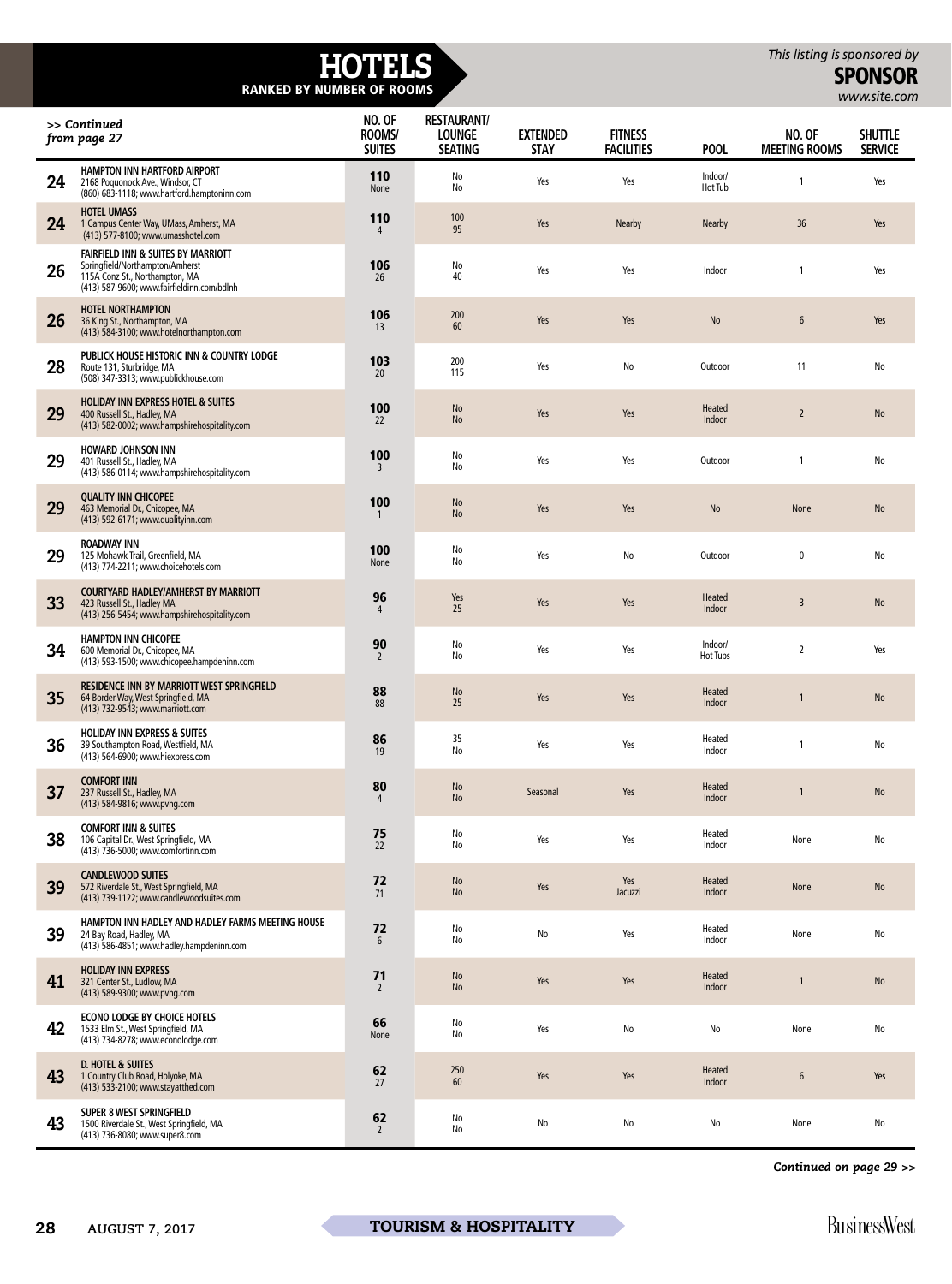## HOTELS RANKED BY NUMBER OF ROOMS

SPONSOR *[www.site.com](http://www.site.com)*

| >> Continued<br>from page 27 |                                                                                                                                                       | NO. OF<br>ROOMS/<br><b>SUITES</b> | <b>RESTAURANT/</b><br><b>LOUNGE</b><br><b>SEATING</b> | <b>EXTENDED</b><br><b>STAY</b> | <b>FITNESS</b><br><b>FACILITIES</b> | POOL                         | <b>NO. OF</b><br><b>MEETING ROOMS</b> | <b>SHUTTLE</b><br><b>SERVICE</b> |
|------------------------------|-------------------------------------------------------------------------------------------------------------------------------------------------------|-----------------------------------|-------------------------------------------------------|--------------------------------|-------------------------------------|------------------------------|---------------------------------------|----------------------------------|
| 24                           | <b>HAMPTON INN HARTFORD AIRPORT</b><br>2168 Poquonock Ave., Windsor, CT<br>(860) 683-1118; www.hartford.hamptoninn.com                                | 110<br>None                       | No<br>No                                              | Yes                            | Yes                                 | Indoor/<br>Hot Tub           |                                       | Yes                              |
| 24                           | <b>HOTEL UMASS</b><br>1 Campus Center Way, UMass, Amherst, MA<br>(413) 577-8100; www.umasshotel.com                                                   | 110<br>4                          | 100<br>95                                             | Yes                            | <b>Nearby</b>                       | <b>Nearby</b>                | 36                                    | Yes                              |
| 26                           | FAIRFIELD INN & SUITES BY MARRIOTT<br>Springfield/Northampton/Amherst<br>115A Conz St., Northampton, MA<br>(413) 587-9600; www.fairfieldinn.com/bdlnh | 106<br>26                         | No<br>40                                              | Yes                            | Yes                                 | Indoor                       | -1                                    | Yes                              |
| 26                           | <b>HOTEL NORTHAMPTON</b><br>36 King St., Northampton, MA<br>(413) 584-3100; www.hotelnorthampton.com                                                  | 106<br>13                         | 200<br>60                                             | Yes                            | Yes                                 | <b>No</b>                    | $6\phantom{.}$                        | Yes                              |
| 28                           | PUBLICK HOUSE HISTORIC INN & COUNTRY LODGE<br>Route 131, Sturbridge, MA<br>(508) 347-3313; www.publickhouse.com                                       | 103<br>20                         | 200<br>115                                            | Yes                            | No                                  | Outdoor                      | 11                                    | No                               |
| 29                           | HOLIDAY INN EXPRESS HOTEL & SUITES<br>400 Russell St., Hadley, MA<br>(413) 582-0002; www.hampshirehospitality.com                                     | 100<br>22                         | <b>No</b><br><b>No</b>                                | Yes                            | Yes                                 | Heated<br>Indoor             | $\overline{2}$                        | <b>No</b>                        |
| 29                           | <b>HOWARD JOHNSON INN</b><br>401 Russell St., Hadley, MA<br>(413) 586-0114; www.hampshirehospitality.com                                              | 100<br>3                          | No<br>No                                              | Yes                            | Yes                                 | Outdoor                      | $\mathbf{1}$                          | No                               |
| 29                           | <b>QUALITY INN CHICOPEE</b><br>463 Memorial Dr., Chicopee, MA<br>(413) 592-6171; www.qualityinn.com                                                   | 100                               | No<br><b>No</b>                                       | Yes                            | Yes                                 | $\operatorname{\mathsf{No}}$ | None                                  | $\operatorname{\mathsf{No}}$     |
| 29                           | <b>ROADWAY INN</b><br>125 Mohawk Trail, Greenfield, MA<br>(413) 774-2211; www.choicehotels.com                                                        | 100<br>None                       | No<br>No                                              | Yes                            | No                                  | Outdoor                      | 0                                     | No                               |
| 33                           | <b>COURTYARD HADLEY/AMHERST BY MARRIOTT</b><br>423 Russell St., Hadley MA<br>(413) 256-5454; www.hampshirehospitality.com                             | 96<br>4                           | Yes<br>25                                             | Yes                            | Yes                                 | Heated<br>Indoor             | 3                                     | <b>No</b>                        |
| 34                           | <b>HAMPTON INN CHICOPEE</b><br>600 Memorial Dr., Chicopee, MA<br>(413) 593-1500; www.chicopee.hampdeninn.com                                          | 90<br>$\overline{2}$              | No<br>No                                              | Yes                            | Yes                                 | Indoor/<br><b>Hot Tubs</b>   | $\overline{2}$                        | Yes                              |
| 35                           | RESIDENCE INN BY MARRIOTT WEST SPRINGFIELD<br>64 Border Way, West Springfield, MA<br>(413) 732-9543; www.marriott.com                                 | 88<br>88                          | <b>No</b><br>25                                       | Yes                            | Yes                                 | Heated<br>Indoor             | 1                                     | <b>No</b>                        |
| 36                           | <b>HOLIDAY INN EXPRESS &amp; SUITES</b><br>39 Southampton Road, Westfield, MA<br>(413) 564-6900; www.hiexpress.com                                    | 86<br>19                          | 35<br>No                                              | Yes                            | Yes                                 | Heated<br>Indoor             |                                       | No                               |
| 37                           | <b>COMFORT INN</b><br>237 Russell St., Hadley, MA<br>(413) 584-9816; www.pvhg.com                                                                     | 80                                | <b>No</b><br><b>No</b>                                | Seasonal                       | Yes                                 | Heated<br>Indoor             |                                       | <b>No</b>                        |
| 38                           | <b>COMFORT INN &amp; SUITES</b><br>106 Capital Dr., West Springfield, MA<br>(413) 736-5000; www.comfortinn.com                                        | 75<br>22                          | No<br>No                                              | Yes                            | Yes                                 | Heated<br>Indoor             | None                                  | No                               |
| 39                           | <b>CANDLEWOOD SUITES</b><br>572 Riverdale St., West Springfield, MA<br>(413) 739-1122; www.candlewoodsuites.com                                       | 72<br>71                          | No<br><b>No</b>                                       | Yes                            | Yes<br>Jacuzzi                      | Heated<br>Indoor             | None                                  | $\operatorname{\mathsf{No}}$     |
| 39                           | HAMPTON INN HADLEY AND HADLEY FARMS MEETING HOUSE<br>24 Bay Road, Hadley, MA<br>(413) 586-4851; www.hadley.hampdeninn.com                             | 72<br>6                           | No<br>No                                              | No                             | Yes                                 | Heated<br>Indoor             | None                                  | No                               |
| 41                           | <b>HOLIDAY INN EXPRESS</b><br>321 Center St., Ludlow, MA<br>(413) 589-9300; www.pvhg.com                                                              | 71<br>$\overline{2}$              | <b>No</b><br><b>No</b>                                | Yes                            | Yes                                 | Heated<br>Indoor             |                                       | <b>No</b>                        |
| 42                           | <b>ECONO LODGE BY CHOICE HOTELS</b><br>1533 Elm St., West Springfield, MA<br>(413) 734-8278; www.econolodge.com                                       | 66<br>None                        | No<br>No                                              | Yes                            | No                                  | No                           | None                                  | No                               |
| 43                           | <b>D. HOTEL &amp; SUITES</b><br>1 Country Club Road, Holyoke, MA<br>(413) 533-2100; www.stayatthed.com                                                | 62<br>27                          | 250<br>60                                             | Yes                            | Yes                                 | <b>Heated</b><br>Indoor      | $6\phantom{.}$                        | Yes                              |
| 43                           | SUPER 8 WEST SPRINGFIELD<br>1500 Riverdale St., West Springfield, MA<br>(413) 736-8080; www.super8.com                                                | 62<br>$\overline{2}$              | No<br>No                                              | No                             | No                                  | No                           | None                                  | No                               |

*Continued on page 29 >>*